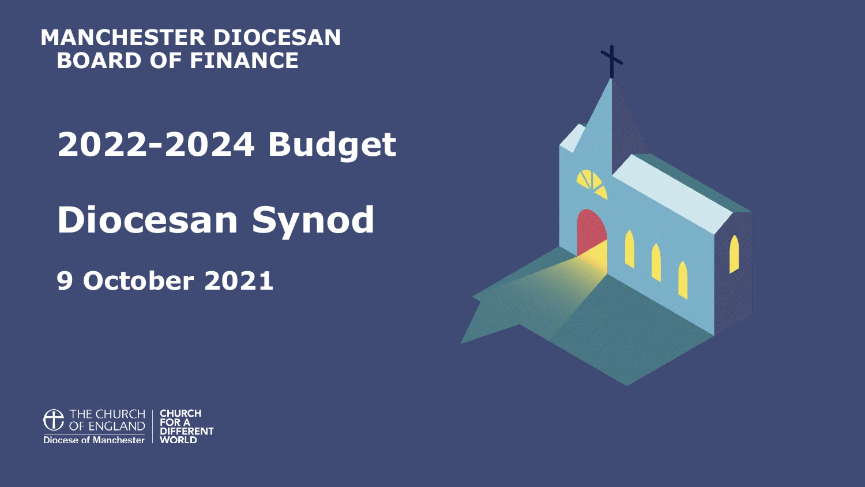#### **MANCHESTER DIOCESAN BOARD OF FINANCE**

### **2022-2024 Budget**

## **Diocesan Synod**

**9 October 2021**



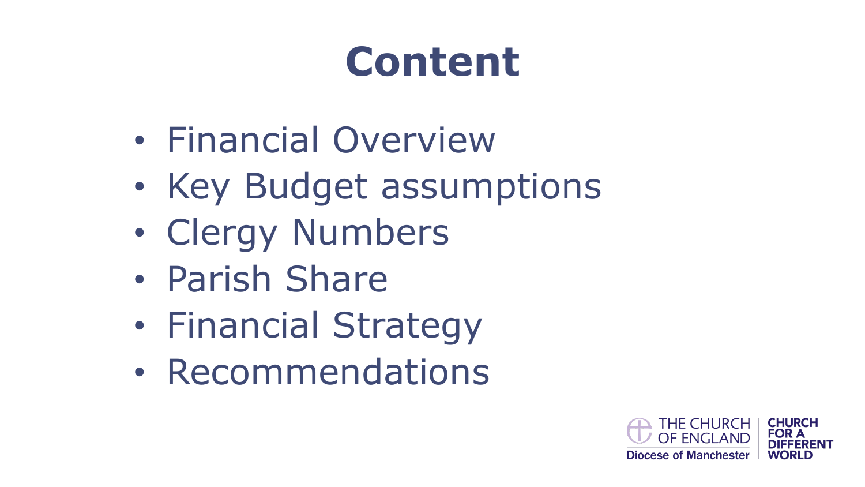# **Content**

- Financial Overview
- Key Budget assumptions
- Clergy Numbers
- Parish Share
- Financial Strategy
- Recommendations

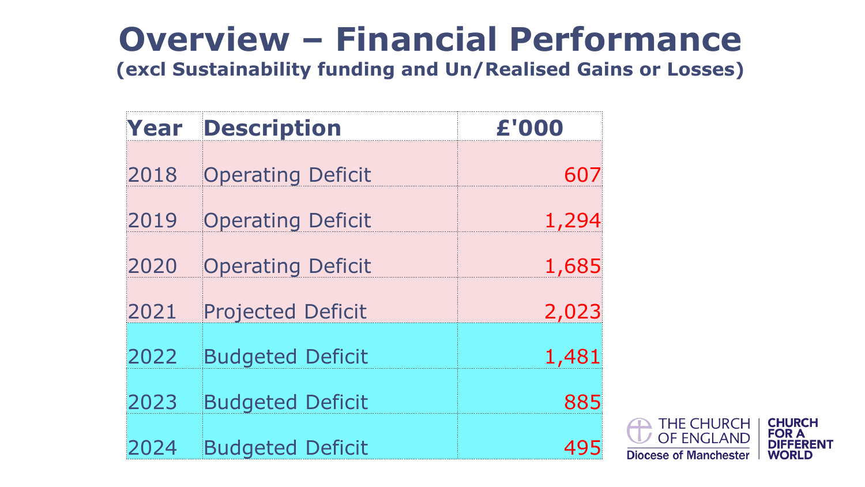## **Overview – Financial Performance**

**(excl Sustainability funding and Un/Realised Gains or Losses)**

| Year | <b>Description</b>       | £'000 |
|------|--------------------------|-------|
| 2018 | <b>Operating Deficit</b> | 607   |
| 2019 | <b>Operating Deficit</b> | 1,294 |
| 2020 | <b>Operating Deficit</b> | 1,685 |
| 2021 | <b>Projected Deficit</b> | 2,023 |
| 2022 | <b>Budgeted Deficit</b>  | 1,481 |
| 2023 | <b>Budgeted Deficit</b>  | 885   |
| 2024 | <b>Budgeted Deficit</b>  | 495   |

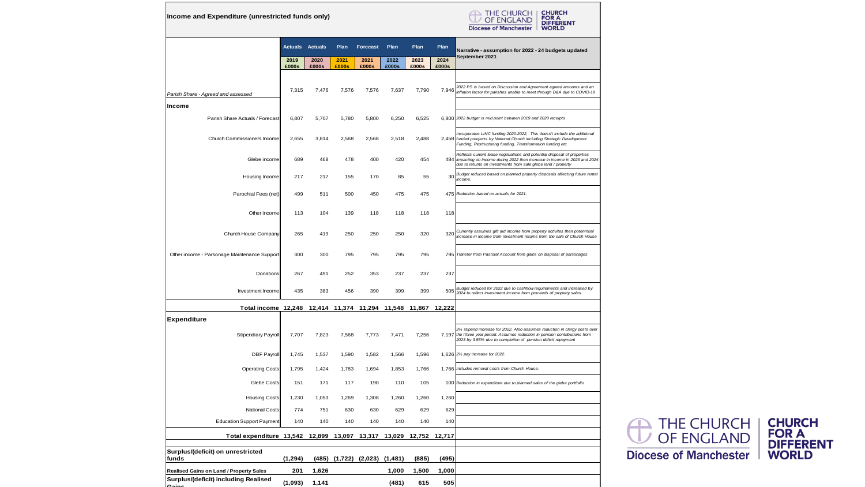**Income and Expenditure (unrestricted funds only)**



|                                              |                                                                    | <b>Actuals</b> | <b>Actuals</b> | Plan          | <b>Forecast</b>               | Plan          | Plan          | Plan          | Narrative - assumption for 2022 - 24 budgets updated                                                                                                                                                                  |  |
|----------------------------------------------|--------------------------------------------------------------------|----------------|----------------|---------------|-------------------------------|---------------|---------------|---------------|-----------------------------------------------------------------------------------------------------------------------------------------------------------------------------------------------------------------------|--|
|                                              |                                                                    | 2019<br>£000s  | 2020<br>£000s  | 2021<br>£000s | 2021<br>£000s                 | 2022<br>£000s | 2023<br>£000s | 2024<br>£000s | September 2021                                                                                                                                                                                                        |  |
|                                              |                                                                    |                |                |               |                               |               |               |               |                                                                                                                                                                                                                       |  |
| Parish Share - Agreed and assessed           |                                                                    | 7,315          | 7,476          | 7,576         | 7,576                         | 7,637         | 7,790         | 7,946         | 2022 PS is based on Discussion and Agreement agreed amounts and an<br>inflation factor for parishes unable to meet through D&A due to COVID-19                                                                        |  |
| Income                                       |                                                                    |                |                |               |                               |               |               |               |                                                                                                                                                                                                                       |  |
| Parish Share Actuals / Forecast              |                                                                    | 6,807          | 5,707          | 5,780         | 5,800                         | 6,250         | 6,525         |               | 6,800 2022 budget is mid point between 2019 and 2020 receipts                                                                                                                                                         |  |
| Church Commissioners Income                  |                                                                    | 2,655          | 3,814          | 2,568         | 2,568                         | 2,518         | 2,488         |               | Incorporates LINC funding 2020-2022, This doesn't include the additional<br>2,458 funded proojects by National Church including Strategic Development<br>Funding, Restructuring funding, Transformation funding etc   |  |
|                                              | Glebe income                                                       | 689            | 468            | 478           | 400                           | 420           | 454           | 484           | Reflects current lease negotiations and potential disposal of properties<br>impacting on income during 2022 then increase in income in 2023 and 2024<br>due to returns on investments from sale glebe land / property |  |
|                                              | Housing Income                                                     | 217            | 217            | 155           | 170                           | 85            | 55            | 30            | Budget reduced based on planned property disposals affecting future rental<br>income.                                                                                                                                 |  |
|                                              | Parochial Fees (net)                                               | 499            | 511            | 500           | 450                           | 475           | 475           |               | 475 Reduction based on actuals for 2021.                                                                                                                                                                              |  |
|                                              | Other income                                                       | 113            | 104            | 139           | 118                           | 118           | 118           | 118           |                                                                                                                                                                                                                       |  |
|                                              | Church House Company                                               | 265            | 419            | 250           | 250                           | 250           | 320           | 320           | Currently assumes gift aid income from property activites then potenmtial<br>increase in income from investment returns from the sale of Church House                                                                 |  |
| Other income - Parsonage Maintenance Support |                                                                    | 300            | 300            | 795           | 795                           | 795           | 795           |               | 795 Transfer from Pastoral Account from gains on disposal of parsonages                                                                                                                                               |  |
|                                              | Donations                                                          | 267            | 491            | 252           | 353                           | 237           | 237           | 237           |                                                                                                                                                                                                                       |  |
|                                              | Investment Income                                                  | 435            | 383            | 456           | 390                           | 399           | 399           | 505           | Budget reduced for 2022 due to cashflow requirements and increased by<br>2024 to reflect investment income from proceeds of property sales.                                                                           |  |
|                                              | Total income 12,248 12,414 11,374 11,294 11,548 11,867 12,222      |                |                |               |                               |               |               |               |                                                                                                                                                                                                                       |  |
| <b>Expenditure</b>                           |                                                                    |                |                |               |                               |               |               |               |                                                                                                                                                                                                                       |  |
|                                              | <b>Stipendiary Payroll</b>                                         | 7,707          | 7,823          | 7,568         | 7,773                         | 7,471         | 7,256         | 7,197         | 2% stipend increase for 2022. Also assumes reduction in clergy posts over<br>the tthree year period. Assumes reduction in pension contributions from<br>2023 by 3.55% due to completion of pension deficit repayment  |  |
|                                              | <b>DBF Payroll</b>                                                 | 1,745          | 1,537          | 1,590         | 1,582                         | 1.566         | 1,596         |               | 1,626 2% pay increase for 2022.                                                                                                                                                                                       |  |
|                                              | <b>Operating Costs</b>                                             | 1,795          | 1,424          | 1,783         | 1,694                         | 1,853         | 1,766         |               | 1,766 Includes removal costs from Church House.                                                                                                                                                                       |  |
|                                              | Glebe Costs                                                        | 151            | 171            | 117           | 190                           | 110           | 105           |               | 100 Reduction in expenditure due to planned sales of the glebe portfoilio                                                                                                                                             |  |
|                                              | <b>Housing Costs</b>                                               | 1,230          | 1,053          | 1,269         | 1,308                         | 1,260         | 1,260         | 1,260         |                                                                                                                                                                                                                       |  |
|                                              | <b>National Costs</b>                                              | 774            | 751            | 630           | 630                           | 629           | 629           | 629           |                                                                                                                                                                                                                       |  |
| <b>Education Support Payment</b>             |                                                                    | 140            | 140            | 140           | 140                           | 140           | 140           | 140           |                                                                                                                                                                                                                       |  |
|                                              | Total expenditure 13,542 12,899 13,097 13,317 13,029 12,752 12,717 |                |                |               |                               |               |               |               |                                                                                                                                                                                                                       |  |
| Surplus/(deficit) on unrestricted<br>funds   |                                                                    | (1, 294)       |                |               | (485) (1,722) (2,023) (1,481) |               | (885)         | (495)         |                                                                                                                                                                                                                       |  |
| Realised Gains on Land / Property Sales      |                                                                    | 201            | 1,626          |               |                               | 1,000         | 1,500         | 1,000         |                                                                                                                                                                                                                       |  |
| Surplus/(deficit) including Realised         |                                                                    | (1.093)        | 1,141          |               |                               | (481)         | 615           | 505           |                                                                                                                                                                                                                       |  |

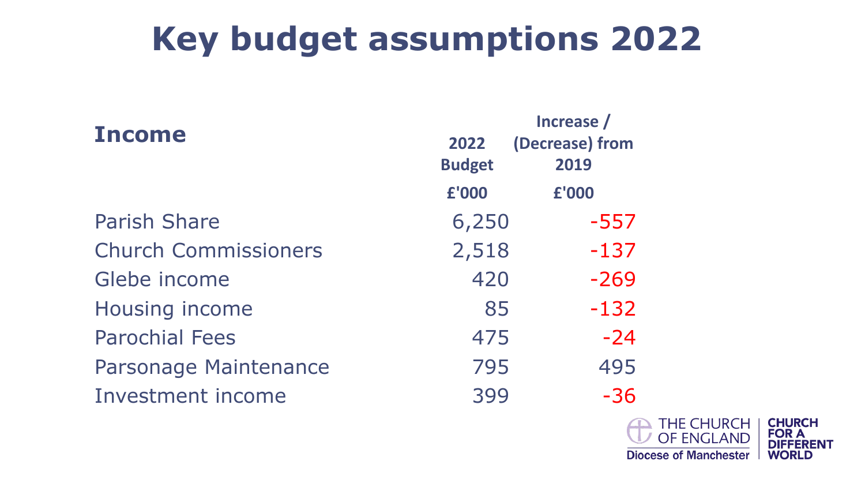## **Key budget assumptions 2022**

| <b>Income</b>               | 2022          | Increase /<br>(Decrease) from |  |
|-----------------------------|---------------|-------------------------------|--|
|                             | <b>Budget</b> | 2019                          |  |
|                             | £'000         | £'000                         |  |
| <b>Parish Share</b>         | 6,250         | $-557$                        |  |
| <b>Church Commissioners</b> | 2,518         | $-137$                        |  |
| Glebe income                | 420           | $-269$                        |  |
| <b>Housing income</b>       | 85            | $-132$                        |  |
| <b>Parochial Fees</b>       | 475           | $-24$                         |  |
| Parsonage Maintenance       | 795           | 495                           |  |
| <b>Investment income</b>    | 399           | $-36$                         |  |

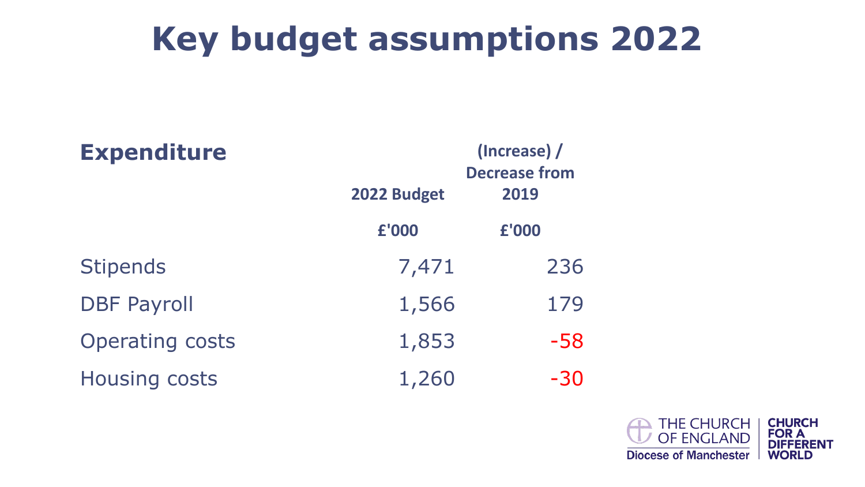### **Key budget assumptions 2022**

| <b>Expenditure</b>     | 2022 Budget | (Increase) /<br><b>Decrease from</b><br>2019 |
|------------------------|-------------|----------------------------------------------|
|                        |             |                                              |
|                        | £'000       | £'000                                        |
| <b>Stipends</b>        | 7,471       | 236                                          |
| <b>DBF Payroll</b>     | 1,566       | 179                                          |
| <b>Operating costs</b> | 1,853       | $-58$                                        |
| <b>Housing costs</b>   | 1,260       | $-30$                                        |

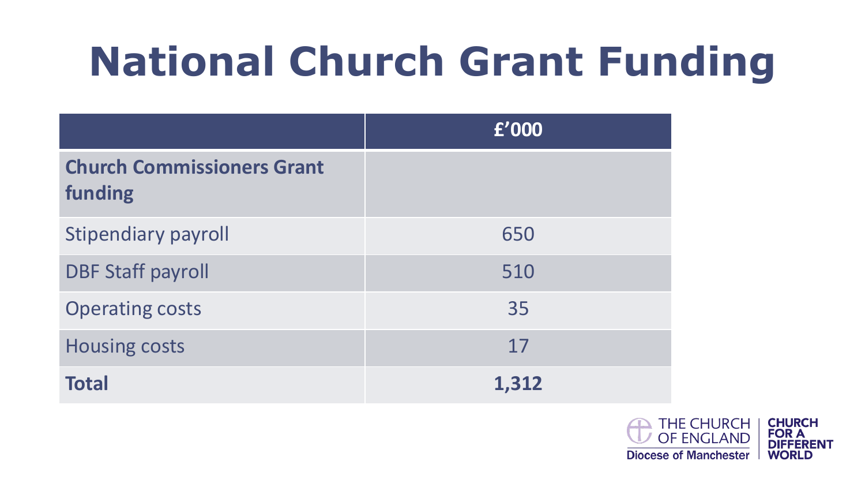# **National Church Grant Funding**

|                                              | £'000 |
|----------------------------------------------|-------|
| <b>Church Commissioners Grant</b><br>funding |       |
| <b>Stipendiary payroll</b>                   | 650   |
| <b>DBF Staff payroll</b>                     | 510   |
| <b>Operating costs</b>                       | 35    |
| <b>Housing costs</b>                         | 17    |
| <b>Total</b>                                 | 1,312 |

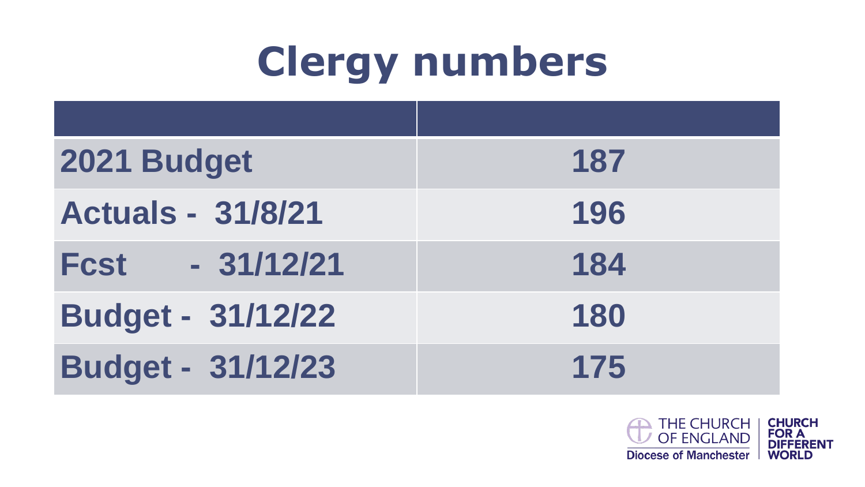# **Clergy numbers**

| 2021 Budget              | 187 |
|--------------------------|-----|
| <b>Actuals - 31/8/21</b> | 196 |
| Fcst - 31/12/21          | 184 |
| <b>Budget - 31/12/22</b> | 180 |
| <b>Budget - 31/12/23</b> | 175 |

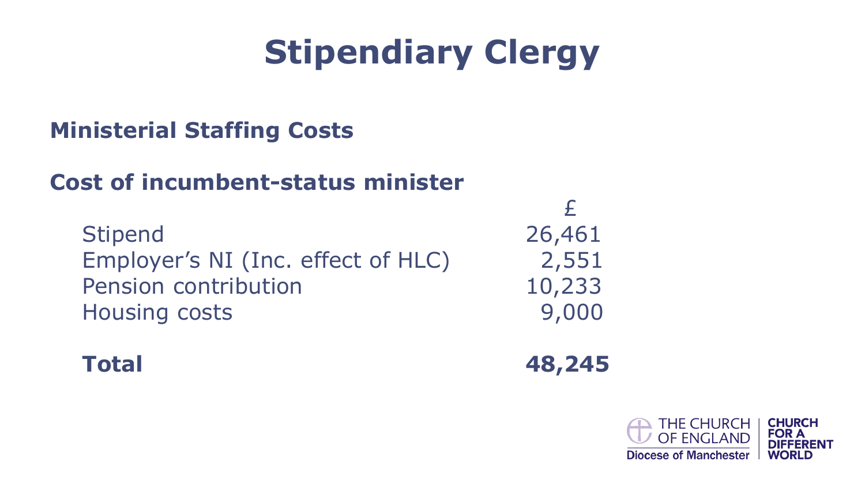## **Stipendiary Clergy**

#### **Ministerial Staffing Costs**

#### **Cost of incumbent-status minister**

Stipend 26,461 Employer's NI (Inc. effect of HLC) 2,551 Pension contribution 10,233 Housing costs 9,000

£

**Total 48,245**

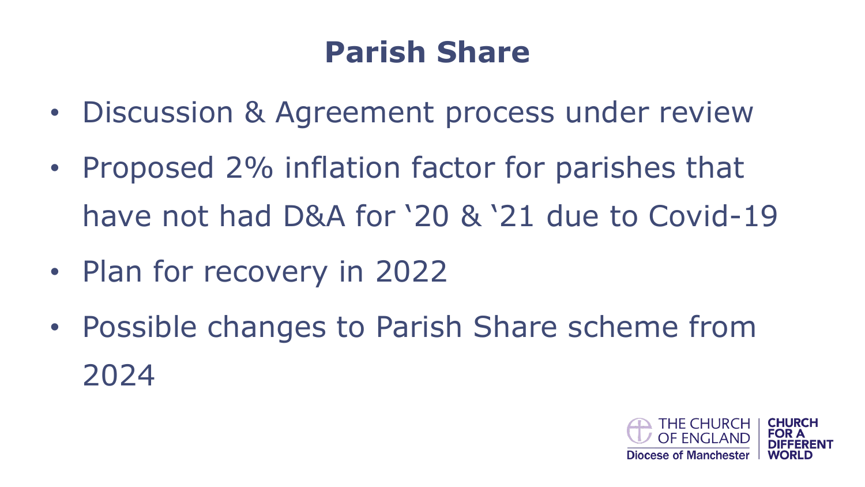### **Parish Share**

- Discussion & Agreement process under review
- Proposed 2% inflation factor for parishes that have not had D&A for '20 & '21 due to Covid-19
- Plan for recovery in 2022
- Possible changes to Parish Share scheme from 2024

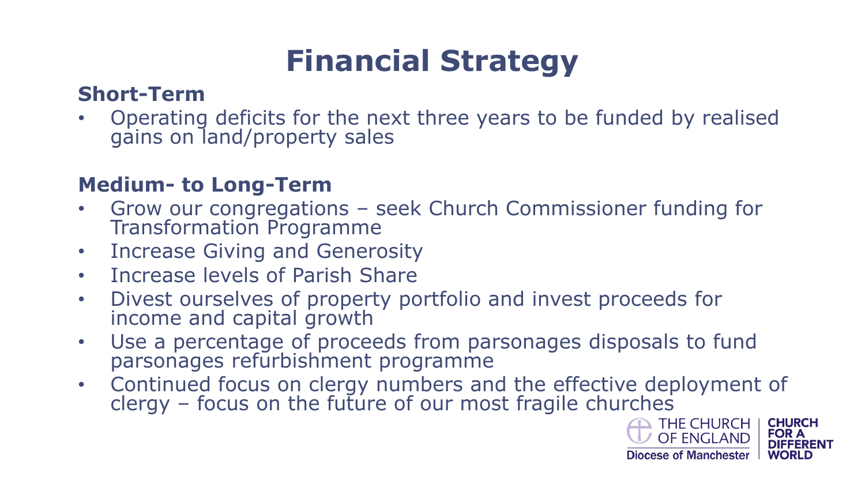### **Financial Strategy**

#### **Short-Term**

• Operating deficits for the next three years to be funded by realised gains on land/property sales

#### **Medium- to Long-Term**

- Grow our congregations seek Church Commissioner funding for Transformation Programme
- Increase Giving and Generosity
- Increase levels of Parish Share
- Divest ourselves of property portfolio and invest proceeds for income and capital growth
- Use a percentage of proceeds from parsonages disposals to fund parsonages refurbishment programme
- Continued focus on clergy numbers and the effective deployment of clergy – focus on the future of our most fragile churches